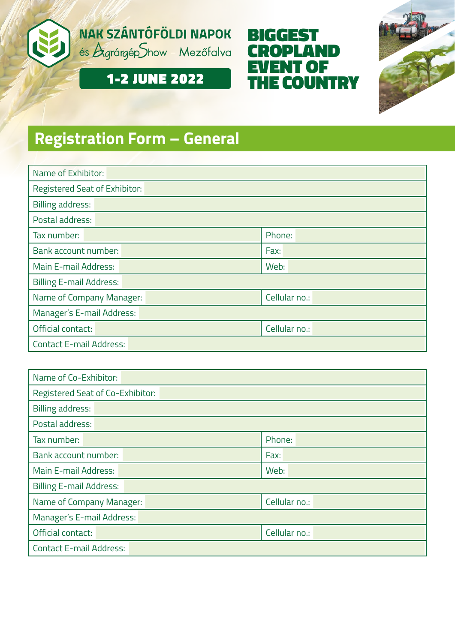





# 1-2 JUNE 2022

# **Registration Form – General**

| Name of Exhibitor:             |               |  |  |  |
|--------------------------------|---------------|--|--|--|
| Registered Seat of Exhibitor:  |               |  |  |  |
| <b>Billing address:</b>        |               |  |  |  |
| Postal address:                |               |  |  |  |
| Tax number:                    | Phone:        |  |  |  |
| Bank account number:           | Fax:          |  |  |  |
| Main E-mail Address:           | Web:          |  |  |  |
| <b>Billing E-mail Address:</b> |               |  |  |  |
| Name of Company Manager:       | Cellular no.: |  |  |  |
| Manager's E-mail Address:      |               |  |  |  |
| Official contact:              | Cellular no.: |  |  |  |
| <b>Contact E-mail Address:</b> |               |  |  |  |

| Name of Co-Exhibitor:            |               |  |  |  |  |
|----------------------------------|---------------|--|--|--|--|
| Registered Seat of Co-Exhibitor: |               |  |  |  |  |
| <b>Billing address:</b>          |               |  |  |  |  |
| Postal address:                  |               |  |  |  |  |
| Tax number:                      | Phone:        |  |  |  |  |
| Bank account number:<br>Fax:     |               |  |  |  |  |
| Main E-mail Address:             | Web:          |  |  |  |  |
| <b>Billing E-mail Address:</b>   |               |  |  |  |  |
| Name of Company Manager:         | Cellular no.: |  |  |  |  |
| Manager's E-mail Address:        |               |  |  |  |  |
| Official contact:                | Cellular no.: |  |  |  |  |
| <b>Contact E-mail Address:</b>   |               |  |  |  |  |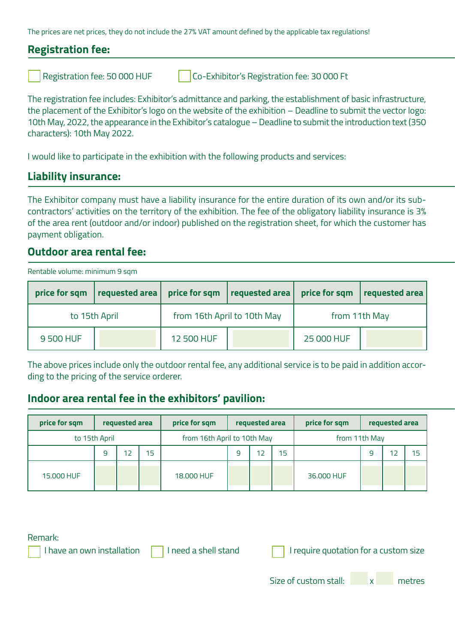The prices are net prices, they do not include the 27% VAT amount defined by the applicable tax regulations!

## **Registration fee:**

Registration fee: 50 000 HUF Co-Exhibitor's Registration fee: 30 000 Ft

The registration fee includes: Exhibitor's admittance and parking, the establishment of basic infrastructure, the placement of the Exhibitor's logo on the website of the exhibition – Deadline to submit the vector logo: 10th May, 2022, the appearance in the Exhibitor's catalogue – Deadline to submit the introduction text (350 characters): 10th May 2022.

I would like to participate in the exhibition with the following products and services:

### **Liability insurance:**

The Exhibitor company must have a liability insurance for the entire duration of its own and/or its subcontractors' activities on the territory of the exhibition. The fee of the obligatory liability insurance is 3% of the area rent (outdoor and/or indoor) published on the registration sheet, for which the customer has payment obligation.

### **Outdoor area rental fee:**

Rentable volume: minimum 9 sqm

|               | price for sqm $ $ requested area $ $ |            | price for sqm   requested area   price for sqm |               | requested area |  |
|---------------|--------------------------------------|------------|------------------------------------------------|---------------|----------------|--|
| to 15th April |                                      |            | from 16th April to 10th May                    | from 11th May |                |  |
| 9 500 HUF     |                                      | 12 500 HUF |                                                | 25 000 HUF    |                |  |

The above prices include only the outdoor rental fee, any additional service is to be paid in addition according to the pricing of the service orderer.

### **Indoor area rental fee in the exhibitors' pavilion:**

| price for sqm |               | requested area |    | price for sqm<br>requested area |  | price for sqm | requested area |            |   |    |    |
|---------------|---------------|----------------|----|---------------------------------|--|---------------|----------------|------------|---|----|----|
|               | to 15th April |                |    | from 16th April to 10th May     |  |               | from 11th May  |            |   |    |    |
|               | 9             | 12             | 15 |                                 |  | 12            | 15             |            | 9 | 12 | 15 |
| 15,000 HUF    |               |                |    | 18.000 HUF                      |  |               |                | 36,000 HUF |   |    |    |

Remark:

| I have an own installation |  |
|----------------------------|--|
|                            |  |

I need a shell stand  $\Box$  I require quotation for a custom size

Size of custom stall:  $\overline{x}$  metres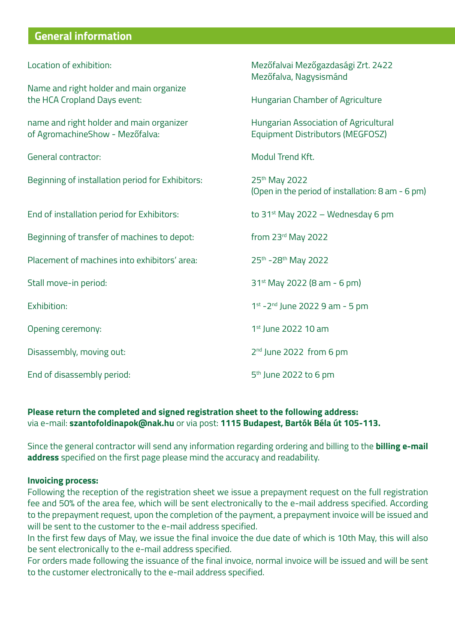# **General information**

| Location of exhibition:                                                     | Mezőfalvai Mezőgazdasági Zrt. 2422<br>Mezőfalva, Nagysismánd              |  |  |  |
|-----------------------------------------------------------------------------|---------------------------------------------------------------------------|--|--|--|
| Name and right holder and main organize<br>the HCA Cropland Days event:     | Hungarian Chamber of Agriculture                                          |  |  |  |
| name and right holder and main organizer<br>of AgromachineShow - Mezőfalva: | Hungarian Association of Agricultural<br>Equipment Distributors (MEGFOSZ) |  |  |  |
| General contractor:                                                         | Modul Trend Kft.                                                          |  |  |  |
| Beginning of installation period for Exhibitors:                            | 25th May 2022<br>(Open in the period of installation: 8 am - 6 pm)        |  |  |  |
| End of installation period for Exhibitors:                                  | to $31^{st}$ May 2022 – Wednesday 6 pm                                    |  |  |  |
| Beginning of transfer of machines to depot:                                 | from 23rd May 2022                                                        |  |  |  |
| Placement of machines into exhibitors' area:                                | 25th - 28th May 2022                                                      |  |  |  |
| Stall move-in period:                                                       | 31 <sup>st</sup> May 2022 (8 am - 6 pm)                                   |  |  |  |
| Exhibition:                                                                 | 1st - 2 <sup>nd</sup> June 2022 9 am - 5 pm                               |  |  |  |
| Opening ceremony:                                                           | 1st June 2022 10 am                                                       |  |  |  |
| Disassembly, moving out:                                                    | 2 <sup>nd</sup> June 2022 from 6 pm                                       |  |  |  |
| End of disassembly period:                                                  | 5 <sup>th</sup> June 2022 to 6 pm                                         |  |  |  |

#### **Please return the completed and signed registration sheet to the following address:** via e-mail: **szantofoldinapok@nak.hu** or via post: **1115 Budapest, Bartók Béla út 105-113.**

Since the general contractor will send any information regarding ordering and billing to the **billing e-mail address** specified on the first page please mind the accuracy and readability.

#### **Invoicing process:**

Following the reception of the registration sheet we issue a prepayment request on the full registration fee and 50% of the area fee, which will be sent electronically to the e-mail address specified. According to the prepayment request, upon the completion of the payment, a prepayment invoice will be issued and will be sent to the customer to the e-mail address specified.

In the first few days of May, we issue the final invoice the due date of which is 10th May, this will also be sent electronically to the e-mail address specified.

For orders made following the issuance of the final invoice, normal invoice will be issued and will be sent to the customer electronically to the e-mail address specified.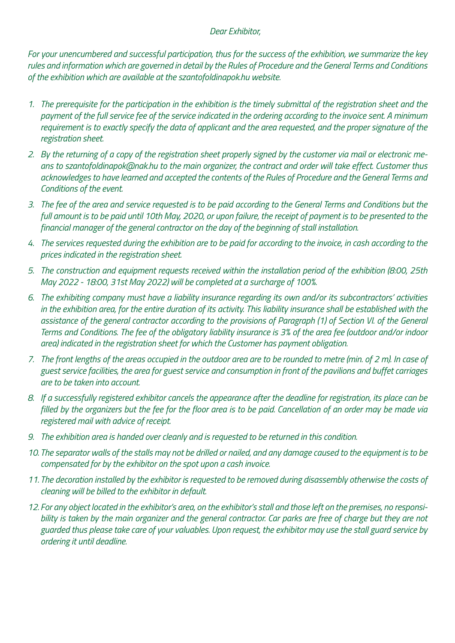#### *Dear Exhibitor,*

*For your unencumbered and successful participation, thus for the success of the exhibition, we summarize the key rules and information which are governed in detail by the Rules of Procedure and the General Terms and Conditions of the exhibition which are available at the szantofoldinapok.hu website.* 

- *1. The prerequisite for the participation in the exhibition is the timely submittal of the registration sheet and the payment of the full service fee of the service indicated in the ordering according to the invoice sent. A minimum*  requirement is to exactly specify the data of applicant and the area requested, and the proper signature of the *registration sheet.*
- *2. By the returning of a copy of the registration sheet properly signed by the customer via mail or electronic means to szantofoldinapok@nak.hu to the main organizer, the contract and order will take effect. Customer thus acknowledges to have learned and accepted the contents of the Rules of Procedure and the General Terms and Conditions of the event.*
- *3. The fee of the area and service requested is to be paid according to the General Terms and Conditions but the full amount is to be paid until 10th May, 2020, or upon failure, the receipt of payment is to be presented to the financial manager of the general contractor on the day of the beginning of stall installation.*
- *4. The services requested during the exhibition are to be paid for according to the invoice, in cash according to the prices indicated in the registration sheet.*
- *5. The construction and equipment requests received within the installation period of the exhibition (8:00, 25th May 2022 - 18:00, 31st May 2022) will be completed at a surcharge of 100%.*
- *6. The exhibiting company must have a liability insurance regarding its own and/or its subcontractors' activities in the exhibition area, for the entire duration of its activity. This liability insurance shall be established with the*  assistance of the general contractor according to the provisions of Paragraph (1) of Section VI. of the General *Terms and Conditions. The fee of the obligatory liability insurance is 3% of the area fee (outdoor and/or indoor area) indicated in the registration sheet for which the Customer has payment obligation.*
- *7. The front lengths of the areas occupied in the outdoor area are to be rounded to metre (min. of 2 m). In case of guest service facilities, the area for guest service and consumption in front of the pavilions and buffet carriages are to be taken into account.*
- *8. If a successfully registered exhibitor cancels the appearance after the deadline for registration, its place can be filled by the organizers but the fee for the floor area is to be paid. Cancellation of an order may be made via registered mail with advice of receipt.*
- *9. The exhibition area is handed over cleanly and is requested to be returned in this condition.*
- *10. The separator walls of the stalls may not be drilled or nailed, and any damage caused to the equipment is to be compensated for by the exhibitor on the spot upon a cash invoice.*
- *11. The decoration installed by the exhibitor is requested to be removed during disassembly otherwise the costs of cleaning will be billed to the exhibitor in default.*
- *12. For any object located in the exhibitor's area, on the exhibitor's stall and those left on the premises, no responsi*bility is taken by the main organizer and the general contractor. Car parks are free of charge but they are not *guarded thus please take care of your valuables. Upon request, the exhibitor may use the stall guard service by ordering it until deadline.*